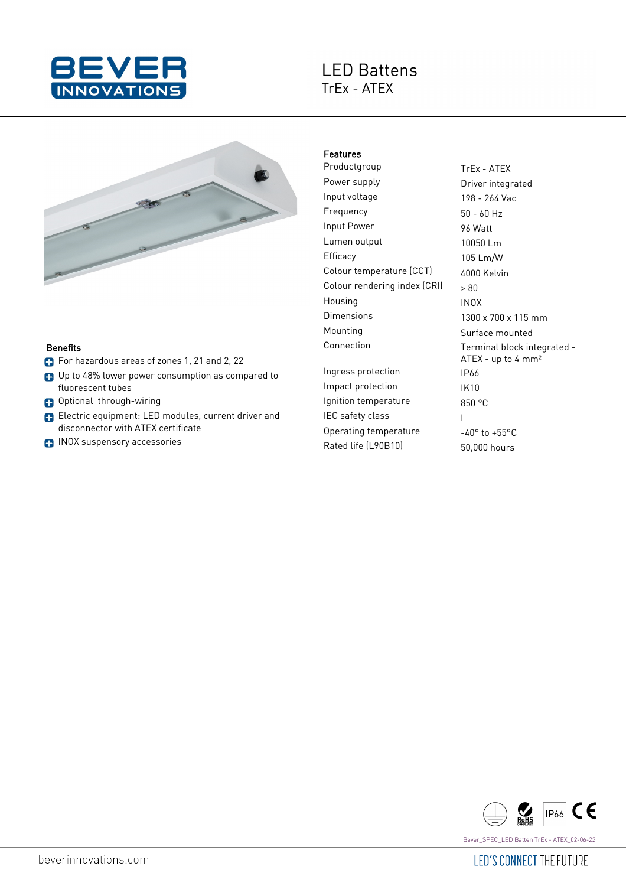

# **LED Battens** TrEx - ATEX



#### **Benefits**

- For hazardous areas of zones 1, 21 and 2, 22
- Up to 48% lower power consumption as compared to fluorescent tubes
- **Complete Contact through-wiring**
- Electric equipment: LED modules, current driver and disconnector with ATEX certificate
- **B** INOX suspensory accessories

#### Features

Power supply **Driver integrated** Input voltage 198 - 264 Vac Frequency 50 - 60 Hz Input Power 96 Watt Lumen output 10050 Lm Efficacy 105 Lm/W Colour temperature (CCT) 4000 Kelvin Colour rendering index  $|CR|$   $\rightarrow$   $80$ Housing INOX Dimensions 1300 x 700 x 115 mm Mounting **Mounting** Surface mounted Connection Terminal block integrated - Ingress protection IP66 Impact protection IK10 Ignition temperature 850 °C IEC safety class The I Operating temperature -40° to +55°C

Productgroup TrEx - ATEX ATEX - up to 4 mm² Rated life (L90B10) 50,000 hours



Bever\_SPEC\_LED Batten TrEx - ATEX\_02-06-22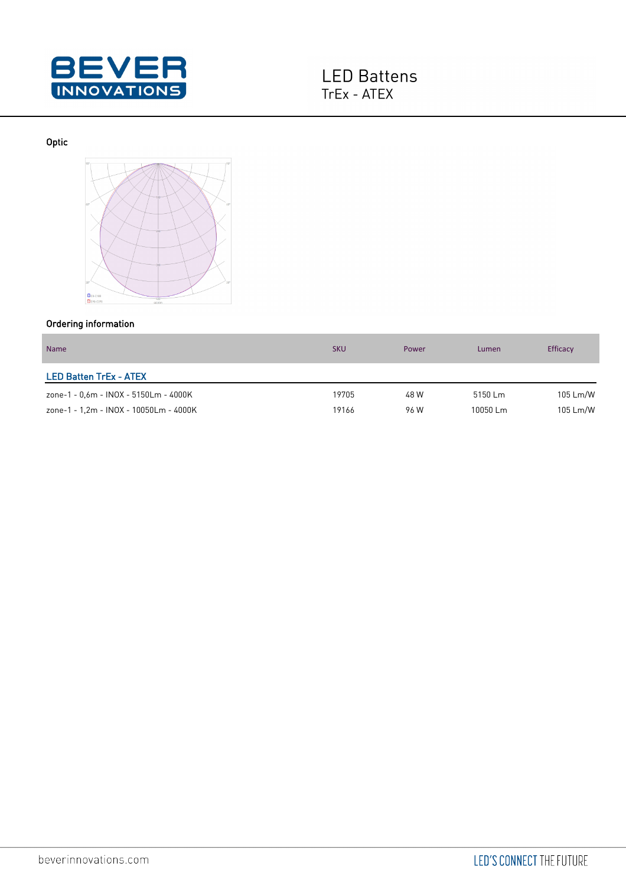

### Optic



### Ordering information

| <b>Name</b>                            | <b>SKU</b> | Power | Lumen    | Efficacy |
|----------------------------------------|------------|-------|----------|----------|
| <b>LED Batten TrEx - ATEX</b>          |            |       |          |          |
| zone-1 - 0.6m - INOX - 5150Lm - 4000K  | 19705      | 48 W  | 5150 Lm  | 105 Lm/W |
| zone-1 - 1,2m - INOX - 10050Lm - 4000K | 19166      | 96 W  | 10050 Lm | 105 Lm/W |